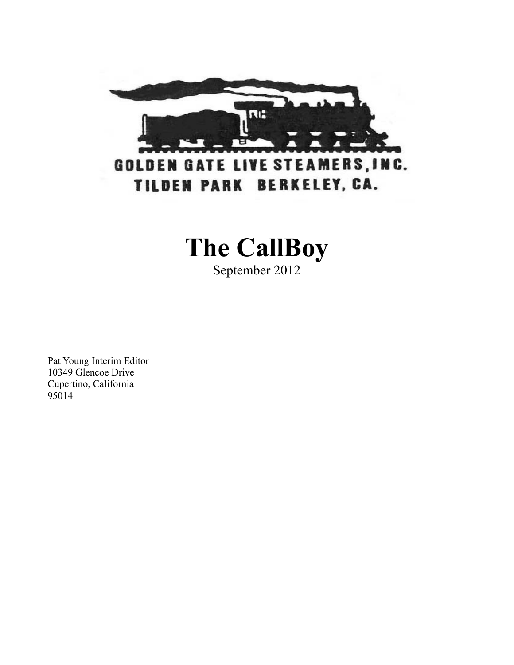

## **The CallBoy**

September 2012

Pat Young Interim Editor 10349 Glencoe Drive Cupertino, California 95014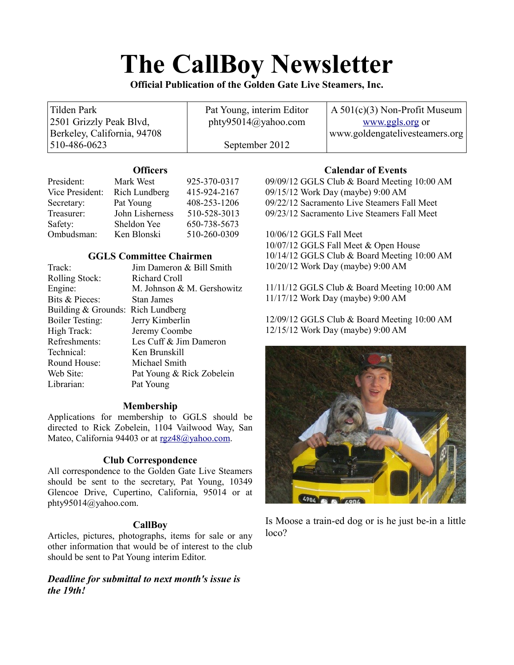# **The CallBoy Newsletter**

**Official Publication of the Golden Gate Live Steamers, Inc.**

| Tilden Park                 | Pat Young, interim Editor      | $A\ 501(c)(3)$ Non-Profit Museum |
|-----------------------------|--------------------------------|----------------------------------|
| 2501 Grizzly Peak Blvd,     | $\text{phy95014}(a)$ yahoo.com | www.ggls.org or                  |
| Berkeley, California, 94708 |                                | www.goldengatelivesteamers.org   |
| 510-486-0623                | September 2012                 |                                  |

### **Officers**

| President:      | Mark West            | 925-370-0317 |
|-----------------|----------------------|--------------|
| Vice President: | <b>Rich Lundberg</b> | 415-924-2167 |
| Secretary:      | Pat Young            | 408-253-1206 |
| Treasurer:      | John Lisherness      | 510-528-3013 |
| Safety:         | Sheldon Yee          | 650-738-5673 |
| Ombudsman:      | Ken Blonski          | 510-260-0309 |

## **GGLS Committee Chairmen**

| Jim Dameron & Bill Smith          |
|-----------------------------------|
| Richard Croll                     |
| M. Johnson & M. Gershowitz        |
| Stan James                        |
| Building & Grounds: Rich Lundberg |
| Jerry Kimberlin                   |
| Jeremy Coombe                     |
| Les Cuff & Jim Dameron            |
| Ken Brunskill                     |
| Michael Smith                     |
| Pat Young & Rick Zobelein         |
| Pat Young                         |
|                                   |

## **Membership**

Applications for membership to GGLS should be directed to Rick Zobelein, 1104 Vailwood Way, San Mateo, California 94403 or at [rgz48@yahoo.com.](mailto:rgz48@yahoo.com)

## **Club Correspondence**

All correspondence to the Golden Gate Live Steamers should be sent to the secretary, Pat Young, 10349 Glencoe Drive, Cupertino, California, 95014 or at phty95014@yahoo.com.

## **CallBoy**

Articles, pictures, photographs, items for sale or any other information that would be of interest to the club should be sent to Pat Young interim Editor.

## *Deadline for submittal to next month's issue is the 19th!*

## **Calendar of Events**

09/09/12 GGLS Club & Board Meeting 10:00 AM 09/15/12 Work Day (maybe) 9:00 AM 09/22/12 Sacramento Live Steamers Fall Meet 09/23/12 Sacramento Live Steamers Fall Meet

10/06/12 GGLS Fall Meet 10/07/12 GGLS Fall Meet & Open House 10/14/12 GGLS Club & Board Meeting 10:00 AM 10/20/12 Work Day (maybe) 9:00 AM

11/11/12 GGLS Club & Board Meeting 10:00 AM 11/17/12 Work Day (maybe) 9:00 AM

12/09/12 GGLS Club & Board Meeting 10:00 AM 12/15/12 Work Day (maybe) 9:00 AM



Is Moose a train-ed dog or is he just be-in a little loco?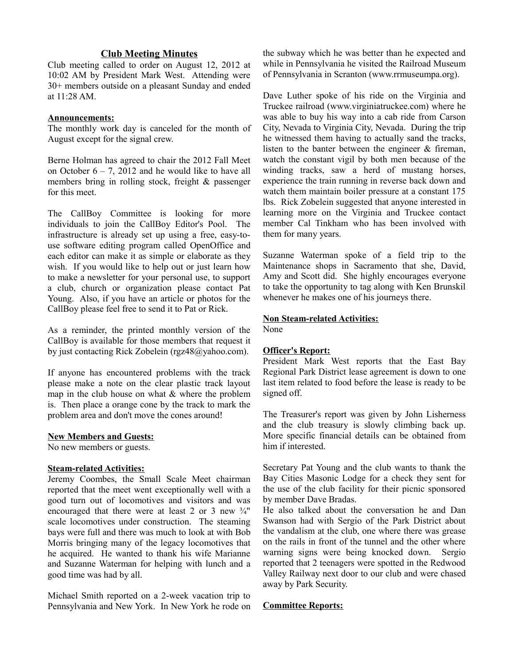#### **Club Meeting Minutes**

Club meeting called to order on August 12, 2012 at 10:02 AM by President Mark West. Attending were 30+ members outside on a pleasant Sunday and ended at 11:28 AM.

#### **Announcements:**

The monthly work day is canceled for the month of August except for the signal crew.

Berne Holman has agreed to chair the 2012 Fall Meet on October  $6 - 7$ , 2012 and he would like to have all members bring in rolling stock, freight & passenger for this meet.

The CallBoy Committee is looking for more individuals to join the CallBoy Editor's Pool. The infrastructure is already set up using a free, easy-touse software editing program called OpenOffice and each editor can make it as simple or elaborate as they wish. If you would like to help out or just learn how to make a newsletter for your personal use, to support a club, church or organization please contact Pat Young. Also, if you have an article or photos for the CallBoy please feel free to send it to Pat or Rick.

As a reminder, the printed monthly version of the CallBoy is available for those members that request it by just contacting Rick Zobelein (rgz48@yahoo.com).

If anyone has encountered problems with the track please make a note on the clear plastic track layout map in the club house on what  $&$  where the problem is. Then place a orange cone by the track to mark the problem area and don't move the cones around!

#### **New Members and Guests:**

No new members or guests.

#### **Steam-related Activities:**

Jeremy Coombes, the Small Scale Meet chairman reported that the meet went exceptionally well with a good turn out of locomotives and visitors and was encouraged that there were at least 2 or 3 new  $\frac{3}{4}$ " scale locomotives under construction. The steaming bays were full and there was much to look at with Bob Morris bringing many of the legacy locomotives that he acquired. He wanted to thank his wife Marianne and Suzanne Waterman for helping with lunch and a good time was had by all.

Michael Smith reported on a 2-week vacation trip to Pennsylvania and New York. In New York he rode on the subway which he was better than he expected and while in Pennsylvania he visited the Railroad Museum of Pennsylvania in Scranton (www.rrmuseumpa.org).

Dave Luther spoke of his ride on the Virginia and Truckee railroad (www.virginiatruckee.com) where he was able to buy his way into a cab ride from Carson City, Nevada to Virginia City, Nevada. During the trip he witnessed them having to actually sand the tracks, listen to the banter between the engineer & fireman, watch the constant vigil by both men because of the winding tracks, saw a herd of mustang horses, experience the train running in reverse back down and watch them maintain boiler pressure at a constant 175 lbs. Rick Zobelein suggested that anyone interested in learning more on the Virginia and Truckee contact member Cal Tinkham who has been involved with them for many years.

Suzanne Waterman spoke of a field trip to the Maintenance shops in Sacramento that she, David, Amy and Scott did. She highly encourages everyone to take the opportunity to tag along with Ken Brunskil whenever he makes one of his journeys there.

#### **Non Steam-related Activities:**

None

#### **Officer's Report:**

President Mark West reports that the East Bay Regional Park District lease agreement is down to one last item related to food before the lease is ready to be signed off.

The Treasurer's report was given by John Lisherness and the club treasury is slowly climbing back up. More specific financial details can be obtained from him if interested.

Secretary Pat Young and the club wants to thank the Bay Cities Masonic Lodge for a check they sent for the use of the club facility for their picnic sponsored by member Dave Bradas.

He also talked about the conversation he and Dan Swanson had with Sergio of the Park District about the vandalism at the club, one where there was grease on the rails in front of the tunnel and the other where warning signs were being knocked down. Sergio reported that 2 teenagers were spotted in the Redwood Valley Railway next door to our club and were chased away by Park Security.

#### **Committee Reports:**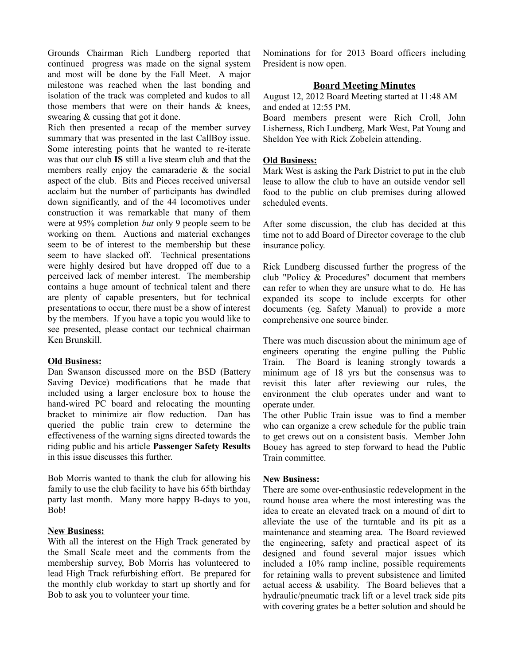Grounds Chairman Rich Lundberg reported that continued progress was made on the signal system and most will be done by the Fall Meet. A major milestone was reached when the last bonding and isolation of the track was completed and kudos to all those members that were on their hands & knees, swearing & cussing that got it done.

Rich then presented a recap of the member survey summary that was presented in the last CallBoy issue. Some interesting points that he wanted to re-iterate was that our club **IS** still a live steam club and that the members really enjoy the camaraderie & the social aspect of the club. Bits and Pieces received universal acclaim but the number of participants has dwindled down significantly, and of the 44 locomotives under construction it was remarkable that many of them were at 95% completion *but* only 9 people seem to be working on them. Auctions and material exchanges seem to be of interest to the membership but these seem to have slacked off. Technical presentations were highly desired but have dropped off due to a perceived lack of member interest. The membership contains a huge amount of technical talent and there are plenty of capable presenters, but for technical presentations to occur, there must be a show of interest by the members. If you have a topic you would like to see presented, please contact our technical chairman Ken Brunskill.

#### **Old Business:**

Dan Swanson discussed more on the BSD (Battery Saving Device) modifications that he made that included using a larger enclosure box to house the hand-wired PC board and relocating the mounting bracket to minimize air flow reduction. Dan has queried the public train crew to determine the effectiveness of the warning signs directed towards the riding public and his article **Passenger Safety Results** in this issue discusses this further.

Bob Morris wanted to thank the club for allowing his family to use the club facility to have his 65th birthday party last month. Many more happy B-days to you, Bob!

#### **New Business:**

With all the interest on the High Track generated by the Small Scale meet and the comments from the membership survey, Bob Morris has volunteered to lead High Track refurbishing effort. Be prepared for the monthly club workday to start up shortly and for Bob to ask you to volunteer your time.

Nominations for for 2013 Board officers including President is now open.

#### **Board Meeting Minutes**

August 12, 2012 Board Meeting started at 11:48 AM and ended at 12:55 PM.

Board members present were Rich Croll, John Lisherness, Rich Lundberg, Mark West, Pat Young and Sheldon Yee with Rick Zobelein attending.

#### **Old Business:**

Mark West is asking the Park District to put in the club lease to allow the club to have an outside vendor sell food to the public on club premises during allowed scheduled events.

After some discussion, the club has decided at this time not to add Board of Director coverage to the club insurance policy.

Rick Lundberg discussed further the progress of the club "Policy & Procedures" document that members can refer to when they are unsure what to do. He has expanded its scope to include excerpts for other documents (eg. Safety Manual) to provide a more comprehensive one source binder.

There was much discussion about the minimum age of engineers operating the engine pulling the Public Train. The Board is leaning strongly towards a minimum age of 18 yrs but the consensus was to revisit this later after reviewing our rules, the environment the club operates under and want to operate under.

The other Public Train issue was to find a member who can organize a crew schedule for the public train to get crews out on a consistent basis. Member John Bouey has agreed to step forward to head the Public Train committee.

#### **New Business:**

There are some over-enthusiastic redevelopment in the round house area where the most interesting was the idea to create an elevated track on a mound of dirt to alleviate the use of the turntable and its pit as a maintenance and steaming area. The Board reviewed the engineering, safety and practical aspect of its designed and found several major issues which included a 10% ramp incline, possible requirements for retaining walls to prevent subsistence and limited actual access & usability. The Board believes that a hydraulic/pneumatic track lift or a level track side pits with covering grates be a better solution and should be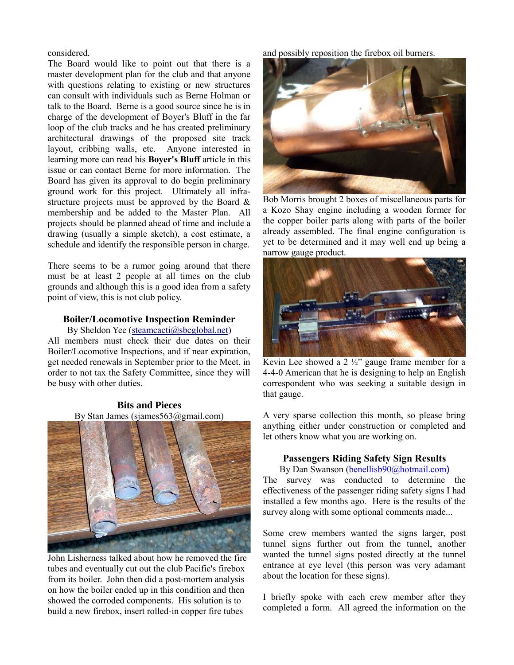#### considered.

The Board would like to point out that there is a master development plan for the club and that anyone with questions relating to existing or new structures can consult with individuals such as Berne Holman or talk to the Board. Berne is a good source since he is in charge of the development of Boyer's Bluff in the far loop of the club tracks and he has created preliminary architectural drawings of the proposed site track layout, cribbing walls, etc. Anyone interested in learning more can read his **Boyer's Bluff** article in this issue or can contact Berne for more information. The Board has given its approval to do begin preliminary ground work for this project. Ultimately all infrastructure projects must be approved by the Board & membership and be added to the Master Plan. All projects should be planned ahead of time and include a drawing (usually a simple sketch), a cost estimate, a schedule and identify the responsible person in charge.

There seems to be a rumor going around that there must be at least 2 people at all times on the club grounds and although this is a good idea from a safety point of view, this is not club policy.

#### **Boiler/Locomotive Inspection Reminder**

By Sheldon Yee [\(steamcacti@sbcglobal.net\)](mailto:steamcacti@sbcglobal.net) All members must check their due dates on their Boiler/Locomotive Inspections, and if near expiration, get needed renewals in September prior to the Meet, in order to not tax the Safety Committee, since they will be busy with other duties.

#### **Bits and Pieces** By Stan James (sjames563@gmail.com)



John Lisherness talked about how he removed the fire tubes and eventually cut out the club Pacific's firebox from its boiler. John then did a post-mortem analysis on how the boiler ended up in this condition and then showed the corroded components. His solution is to build a new firebox, insert rolled-in copper fire tubes

and possibly reposition the firebox oil burners.



Bob Morris brought 2 boxes of miscellaneous parts for a Kozo Shay engine including a wooden former for the copper boiler parts along with parts of the boiler already assembled. The final engine configuration is yet to be determined and it may well end up being a narrow gauge product.



Kevin Lee showed a  $2\frac{1}{2}$  gauge frame member for a 4-4-0 American that he is designing to help an English correspondent who was seeking a suitable design in that gauge.

A very sparse collection this month, so please bring anything either under construction or completed and let others know what you are working on.

#### **Passengers Riding Safety Sign Results**

By Dan Swanson (benellisb90@hotmail.com) The survey was conducted to determine the effectiveness of the passenger riding safety signs I had installed a few months ago. Here is the results of the survey along with some optional comments made...

Some crew members wanted the signs larger, post tunnel signs further out from the tunnel, another wanted the tunnel signs posted directly at the tunnel entrance at eye level (this person was very adamant about the location for these signs).

I briefly spoke with each crew member after they completed a form. All agreed the information on the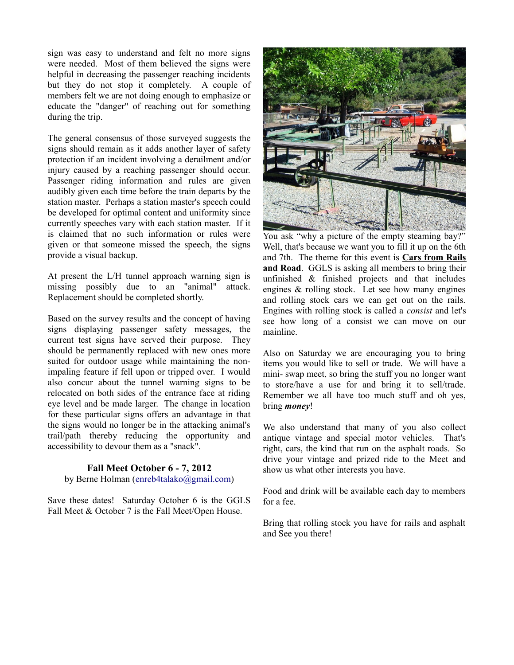sign was easy to understand and felt no more signs were needed. Most of them believed the signs were helpful in decreasing the passenger reaching incidents but they do not stop it completely. A couple of members felt we are not doing enough to emphasize or educate the "danger" of reaching out for something during the trip.

The general consensus of those surveyed suggests the signs should remain as it adds another layer of safety protection if an incident involving a derailment and/or injury caused by a reaching passenger should occur. Passenger riding information and rules are given audibly given each time before the train departs by the station master. Perhaps a station master's speech could be developed for optimal content and uniformity since currently speeches vary with each station master. If it is claimed that no such information or rules were given or that someone missed the speech, the signs provide a visual backup.

At present the L/H tunnel approach warning sign is missing possibly due to an "animal" attack. Replacement should be completed shortly.

Based on the survey results and the concept of having signs displaying passenger safety messages, the current test signs have served their purpose. They should be permanently replaced with new ones more suited for outdoor usage while maintaining the nonimpaling feature if fell upon or tripped over. I would also concur about the tunnel warning signs to be relocated on both sides of the entrance face at riding eye level and be made larger. The change in location for these particular signs offers an advantage in that the signs would no longer be in the attacking animal's trail/path thereby reducing the opportunity and accessibility to devour them as a "snack".

#### **Fall Meet October 6 - 7, 2012**

by Berne Holman [\(enreb4talako@gmail.com\)](mailto:enreb4talako@gmail.com)

Save these dates! Saturday October 6 is the GGLS Fall Meet & October 7 is the Fall Meet/Open House.



You ask "why a picture of the empty steaming bay?" Well, that's because we want you to fill it up on the 6th and 7th. The theme for this event is **Cars from Rails and Road**. GGLS is asking all members to bring their unfinished & finished projects and that includes engines & rolling stock. Let see how many engines and rolling stock cars we can get out on the rails. Engines with rolling stock is called a *consist* and let's see how long of a consist we can move on our mainline.

Also on Saturday we are encouraging you to bring items you would like to sell or trade. We will have a mini- swap meet, so bring the stuff you no longer want to store/have a use for and bring it to sell/trade. Remember we all have too much stuff and oh yes, bring *money*!

We also understand that many of you also collect antique vintage and special motor vehicles. That's right, cars, the kind that run on the asphalt roads. So drive your vintage and prized ride to the Meet and show us what other interests you have.

Food and drink will be available each day to members for a fee.

Bring that rolling stock you have for rails and asphalt and See you there!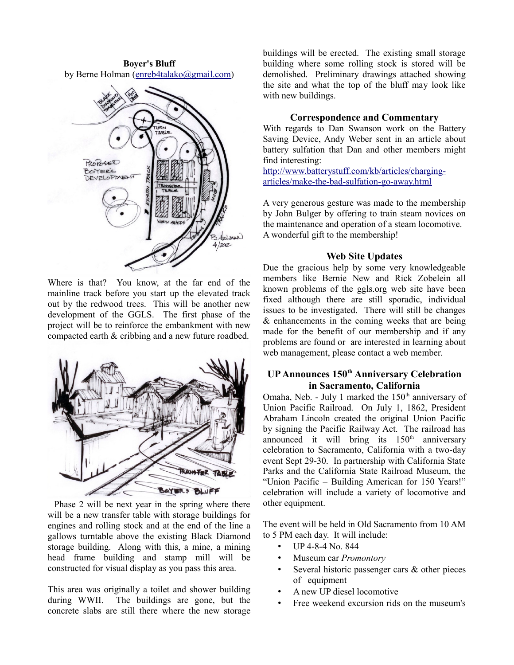**Boyer's Bluff** by Berne Holman [\(enreb4talako@gmail.com\)](mailto:enreb4talako@gmail.com)



Where is that? You know, at the far end of the mainline track before you start up the elevated track out by the redwood trees. This will be another new development of the GGLS. The first phase of the project will be to reinforce the embankment with new compacted earth & cribbing and a new future roadbed.



 Phase 2 will be next year in the spring where there will be a new transfer table with storage buildings for engines and rolling stock and at the end of the line a gallows turntable above the existing Black Diamond storage building. Along with this, a mine, a mining head frame building and stamp mill will be constructed for visual display as you pass this area.

This area was originally a toilet and shower building during WWII. The buildings are gone, but the concrete slabs are still there where the new storage buildings will be erected. The existing small storage building where some rolling stock is stored will be demolished. Preliminary drawings attached showing the site and what the top of the bluff may look like with new buildings.

#### **Correspondence and Commentary**

With regards to Dan Swanson work on the Battery Saving Device, Andy Weber sent in an article about battery sulfation that Dan and other members might find interesting:

[http://www.batterystuff.com/kb/articles/charging](http://www.batterystuff.com/kb/articles/charging-articles/make-the-bad-sulfation-go-away.html)[articles/make-the-bad-sulfation-go-away.html](http://www.batterystuff.com/kb/articles/charging-articles/make-the-bad-sulfation-go-away.html)

A very generous gesture was made to the membership by John Bulger by offering to train steam novices on the maintenance and operation of a steam locomotive. A wonderful gift to the membership!

#### **Web Site Updates**

Due the gracious help by some very knowledgeable members like Bernie New and Rick Zobelein all known problems of the ggls.org web site have been fixed although there are still sporadic, individual issues to be investigated. There will still be changes & enhancements in the coming weeks that are being made for the benefit of our membership and if any problems are found or are interested in learning about web management, please contact a web member.

## **UP Announces 150th Anniversary Celebration in Sacramento, California**

Omaha, Neb. - July 1 marked the  $150<sup>th</sup>$  anniversary of Union Pacific Railroad. On July 1, 1862, President Abraham Lincoln created the original Union Pacific by signing the Pacific Railway Act. The railroad has announced it will bring its  $150<sup>th</sup>$  anniversary celebration to Sacramento, California with a two-day event Sept 29-30. In partnership with California State Parks and the California State Railroad Museum, the "Union Pacific – Building American for 150 Years!" celebration will include a variety of locomotive and other equipment.

The event will be held in Old Sacramento from 10 AM to 5 PM each day. It will include:

- UP 4-8-4 No. 844
- Museum car *Promontory*
- Several historic passenger cars  $\&$  other pieces of equipment
- A new UP diesel locomotive
- Free weekend excursion rids on the museum's